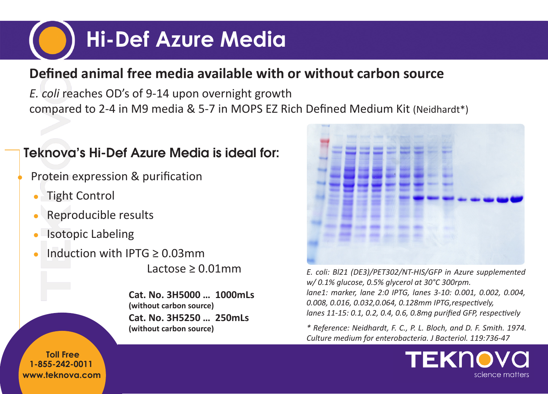# **Hi-Def Azure Media**

#### **Defined animal free media available with or without carbon source**

*E. coli* reaches OD's of 9-14 upon overnight growth compared to 2-4 in M9 media & 5-7 in MOPS EZ Rich Defined Medium Kit (Neidhardt\*)

#### Teknova's Hi-Def Azure Media is ideal for:

Protein expression & purification

- Tight Control
- Reproducible results
- **Isotopic Labeling**
- Induction with IPTG  $> 0.03$ mm

Lactose  $\geq 0.01$ mm

**Cat. No. 3H5000 … 1000mLs (without carbon source) Cat. No. 3H5250 … 250mLs (without carbon source)**



*E. coli: Bl21 (DE3)/PET302/NT-HIS/GFP in Azure supplemented w/ 0.1% glucose, 0.5% glycerol at 30°C 300rpm. lane1: marker, lane 2:0 IPTG, lanes 3-10: 0.001, 0.002, 0.004, 0.008, 0.016, 0.032,0.064, 0.128mm IPTG,respectively, lanes 11-15: 0.1, 0.2, 0.4, 0.6, 0.8mg purified GFP, respectively*

*\* Reference: Neidhardt, F. C., P. L. Bloch, and D. F. Smith. 1974. Culture medium for enterobacteria. J Bacteriol. 119:736-47*



**www.teknova.com 1-855-242-0011 Toll Free**